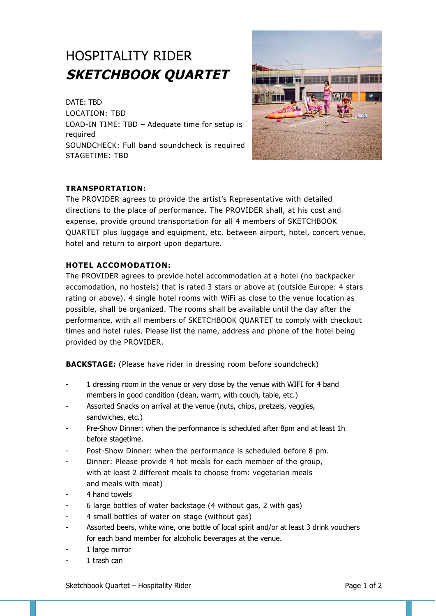# HOSPITALITY RIDER **SKETCHBOOK QUARTET**

DATE: TBD LOCATION: TBD LOAD-IN TIME: TBD – Adequate time for setup is required SOUNDCHECK: Full band soundcheck is required STAGETIME: TBD



## **TRANSPORTATION:**

The PROVIDER agrees to provide the artist's Representative with detailed directions to the place of performance. The PROVIDER shall, at his cost and expense, provide ground transportation for all 4 members of SKETCHBOOK QUARTET plus luggage and equipment, etc. between airport, hotel, concert venue, hotel and return to airport upon departure.

## **HOTEL ACCOMODATION:**

The PROVIDER agrees to provide hotel accommodation at a hotel (no backpacker accomodation, no hostels) that is rated 3 stars or above at (outside Europe: 4 stars rating or above). 4 single hotel rooms with WiFi as close to the venue location as possible, shall be organized. The rooms shall be available until the day after the performance, with all members of SKETCHBOOK QUARTET to comply with checkout times and hotel rules. Please list the name, address and phone of the hotel being provided by the PROVIDER.

**BACKSTAGE:** (Please have rider in dressing room before soundcheck)

- 1 dressing room in the venue or very close by the venue with WIFI for 4 band members in good condition (clean, warm, with couch, table, etc.)
- Assorted Snacks on arrival at the venue (nuts, chips, pretzels, veggies, sandwiches, etc.)
- Pre-Show Dinner: when the performance is scheduled after 8pm and at least 1h before stagetime.
- Post-Show Dinner: when the performance is scheduled before 8 pm.
- Dinner: Please provide 4 hot meals for each member of the group, with at least 2 different meals to choose from: vegetarian meals and meals with meat)
- 4 hand towels
- 6 large bottles of water backstage (4 without gas, 2 with gas)
- 4 small bottles of water on stage (without gas)
- Assorted beers, white wine, one bottle of local spirit and/or at least 3 drink vouchers for each band member for alcoholic beverages at the venue.
- 1 large mirror
- 1 trash can